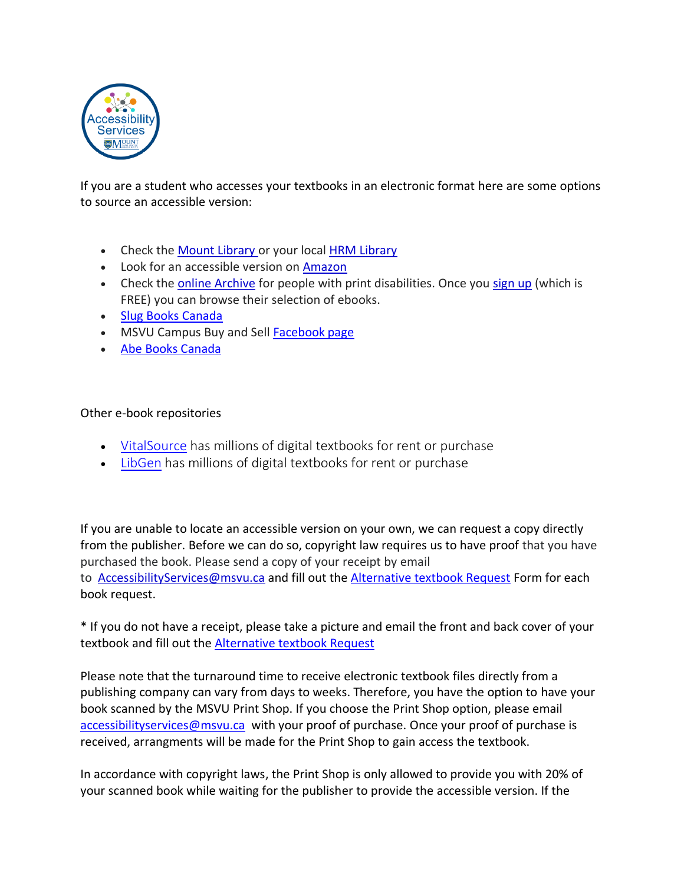

If you are a student who accesses your textbooks in an electronic format here are some options to source an accessible version:

- Check the [Mount Library](https://www.msvu.ca/en/home/library/default.aspx) or your local [HRM Library](https://www.halifaxpubliclibraries.ca/)
- Look for an accessible version on [Amazon](https://www.amazon.ca/)
- Check the **[online Archive](https://archive.org/details/printdisabled)** for people with print disabilities. Once you [sign up](https://archive.org/account/login) (which is FREE) you can browse their selection of ebooks.
- [Slug Books](https://www.slugbooks.com/canada) Canada
- MSVU Campus Buy and Sell [Facebook](https://www.facebook.com/) page
- [Abe Books](https://www.abebooks.com/Canada/index.shtml?&cm_mmc=ggl-_-COM_CA_Brand3-_-naa-_-1t1naa&gclid=EAIaIQobChMIgemQmpq35AIVjeDICh0fTAUNEAAYASAAEgLDNfD_BwE) Canada

## Other e-book repositories

- [VitalSource](https://www.vitalsource.com/) has millions of digital textbooks for rent or purchase
- [LibGen](http://libgen.st/) has millions of digital textbooks for rent or purchase

If you are unable to locate an accessible version on your own, we can request a copy directly from the publisher. Before we can do so, copyright law requires us to have proof that you have purchased the book. Please send a copy of your receipt by email to [AccessibilityServices@msvu.ca](mailto:AccessibilityServices@msvu.ca) and fill out the [Alternative textbook Request](https://forms.office.com/Pages/DesignPage.aspx?auth_pvr=OrgId&auth_upn=Tests@msvu.ca&origin=OfficeDotCom&lang=en-US#FormId=cF4Z0V-78UOJAks_bPxJxvUjBq2gnWRIvBCxlcHQwyZUQllQTUU4WENEN01ST1AwRElVR1E0S0pTNi4u) Form for each book request.

\* If you do not have a receipt, please take a picture and email the front and back cover of your textbook and fill out the [Alternative textbook Request](https://forms.office.com/Pages/DesignPage.aspx?auth_pvr=OrgId&auth_upn=Tests@msvu.ca&origin=OfficeDotCom&lang=en-US#FormId=cF4Z0V-78UOJAks_bPxJxvUjBq2gnWRIvBCxlcHQwyZUQllQTUU4WENEN01ST1AwRElVR1E0S0pTNi4u)

Please note that the turnaround time to receive electronic textbook files directly from a publishing company can vary from days to weeks. Therefore, you have the option to have your book scanned by the MSVU Print Shop. If you choose the Print Shop option, please email [accessibilityservices@msvu.ca](mailto:accessibilityservices@msvu.ca) with your proof of purchase. Once your proof of purchase is received, arrangments will be made for the Print Shop to gain access the textbook.

In accordance with copyright laws, the Print Shop is only allowed to provide you with 20% of your scanned book while waiting for the publisher to provide the accessible version. If the